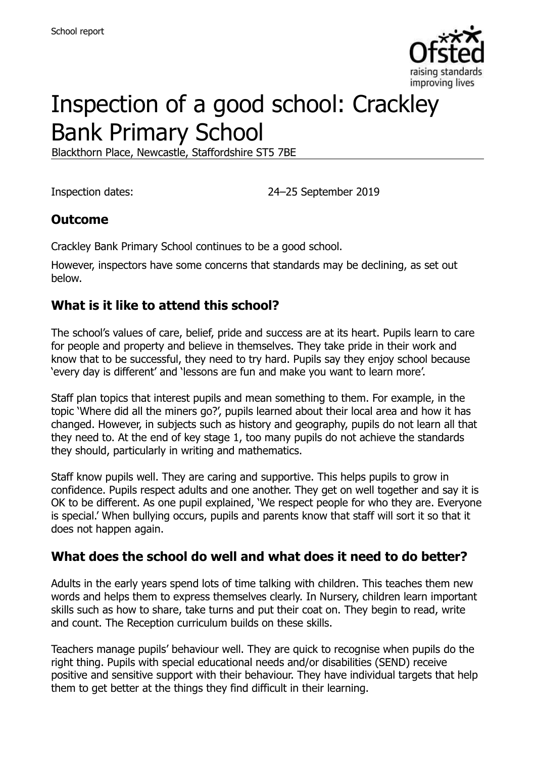

# Inspection of a good school: Crackley Bank Primary School

Blackthorn Place, Newcastle, Staffordshire ST5 7BE

Inspection dates: 24–25 September 2019

## **Outcome**

Crackley Bank Primary School continues to be a good school.

However, inspectors have some concerns that standards may be declining, as set out below.

## **What is it like to attend this school?**

The school's values of care, belief, pride and success are at its heart. Pupils learn to care for people and property and believe in themselves. They take pride in their work and know that to be successful, they need to try hard. Pupils say they enjoy school because 'every day is different' and 'lessons are fun and make you want to learn more'.

Staff plan topics that interest pupils and mean something to them. For example, in the topic 'Where did all the miners go?', pupils learned about their local area and how it has changed. However, in subjects such as history and geography, pupils do not learn all that they need to. At the end of key stage 1, too many pupils do not achieve the standards they should, particularly in writing and mathematics.

Staff know pupils well. They are caring and supportive. This helps pupils to grow in confidence. Pupils respect adults and one another. They get on well together and say it is OK to be different. As one pupil explained, 'We respect people for who they are. Everyone is special.' When bullying occurs, pupils and parents know that staff will sort it so that it does not happen again.

## **What does the school do well and what does it need to do better?**

Adults in the early years spend lots of time talking with children. This teaches them new words and helps them to express themselves clearly. In Nursery, children learn important skills such as how to share, take turns and put their coat on. They begin to read, write and count. The Reception curriculum builds on these skills.

Teachers manage pupils' behaviour well. They are quick to recognise when pupils do the right thing. Pupils with special educational needs and/or disabilities (SEND) receive positive and sensitive support with their behaviour. They have individual targets that help them to get better at the things they find difficult in their learning.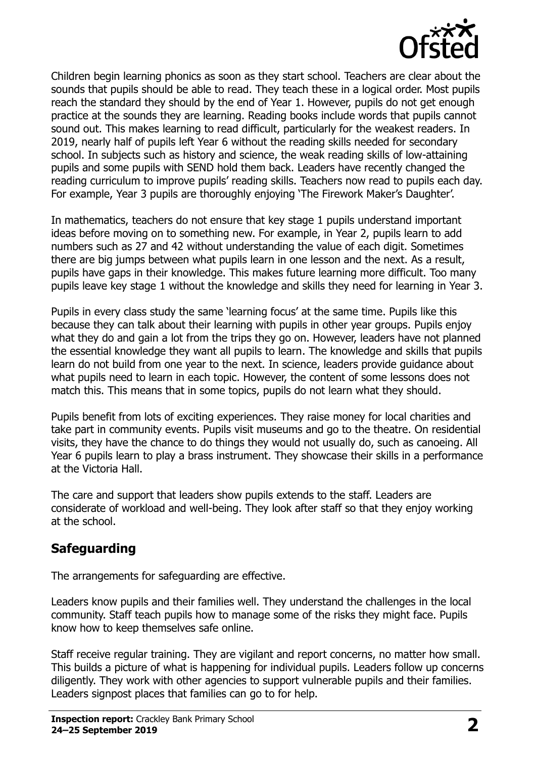

Children begin learning phonics as soon as they start school. Teachers are clear about the sounds that pupils should be able to read. They teach these in a logical order. Most pupils reach the standard they should by the end of Year 1. However, pupils do not get enough practice at the sounds they are learning. Reading books include words that pupils cannot sound out. This makes learning to read difficult, particularly for the weakest readers. In 2019, nearly half of pupils left Year 6 without the reading skills needed for secondary school. In subjects such as history and science, the weak reading skills of low-attaining pupils and some pupils with SEND hold them back. Leaders have recently changed the reading curriculum to improve pupils' reading skills. Teachers now read to pupils each day. For example, Year 3 pupils are thoroughly enjoying 'The Firework Maker's Daughter'.

In mathematics, teachers do not ensure that key stage 1 pupils understand important ideas before moving on to something new. For example, in Year 2, pupils learn to add numbers such as 27 and 42 without understanding the value of each digit. Sometimes there are big jumps between what pupils learn in one lesson and the next. As a result, pupils have gaps in their knowledge. This makes future learning more difficult. Too many pupils leave key stage 1 without the knowledge and skills they need for learning in Year 3.

Pupils in every class study the same 'learning focus' at the same time. Pupils like this because they can talk about their learning with pupils in other year groups. Pupils enjoy what they do and gain a lot from the trips they go on. However, leaders have not planned the essential knowledge they want all pupils to learn. The knowledge and skills that pupils learn do not build from one year to the next. In science, leaders provide guidance about what pupils need to learn in each topic. However, the content of some lessons does not match this. This means that in some topics, pupils do not learn what they should.

Pupils benefit from lots of exciting experiences. They raise money for local charities and take part in community events. Pupils visit museums and go to the theatre. On residential visits, they have the chance to do things they would not usually do, such as canoeing. All Year 6 pupils learn to play a brass instrument. They showcase their skills in a performance at the Victoria Hall.

The care and support that leaders show pupils extends to the staff. Leaders are considerate of workload and well-being. They look after staff so that they enjoy working at the school.

## **Safeguarding**

The arrangements for safeguarding are effective.

Leaders know pupils and their families well. They understand the challenges in the local community. Staff teach pupils how to manage some of the risks they might face. Pupils know how to keep themselves safe online.

Staff receive regular training. They are vigilant and report concerns, no matter how small. This builds a picture of what is happening for individual pupils. Leaders follow up concerns diligently. They work with other agencies to support vulnerable pupils and their families. Leaders signpost places that families can go to for help.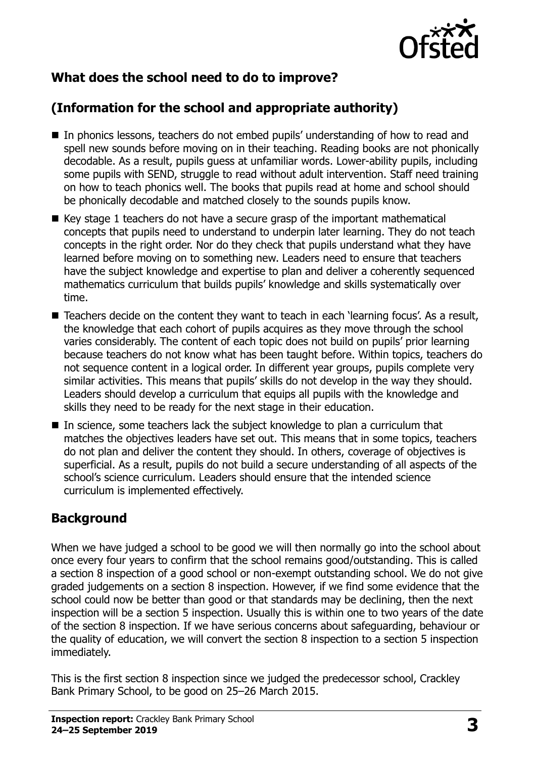

## **What does the school need to do to improve?**

## **(Information for the school and appropriate authority)**

- In phonics lessons, teachers do not embed pupils' understanding of how to read and spell new sounds before moving on in their teaching. Reading books are not phonically decodable. As a result, pupils guess at unfamiliar words. Lower-ability pupils, including some pupils with SEND, struggle to read without adult intervention. Staff need training on how to teach phonics well. The books that pupils read at home and school should be phonically decodable and matched closely to the sounds pupils know.
- $\blacksquare$  Key stage 1 teachers do not have a secure grasp of the important mathematical concepts that pupils need to understand to underpin later learning. They do not teach concepts in the right order. Nor do they check that pupils understand what they have learned before moving on to something new. Leaders need to ensure that teachers have the subject knowledge and expertise to plan and deliver a coherently sequenced mathematics curriculum that builds pupils' knowledge and skills systematically over time.
- $\blacksquare$  Teachers decide on the content they want to teach in each 'learning focus'. As a result, the knowledge that each cohort of pupils acquires as they move through the school varies considerably. The content of each topic does not build on pupils' prior learning because teachers do not know what has been taught before. Within topics, teachers do not sequence content in a logical order. In different year groups, pupils complete very similar activities. This means that pupils' skills do not develop in the way they should. Leaders should develop a curriculum that equips all pupils with the knowledge and skills they need to be ready for the next stage in their education.
- In science, some teachers lack the subject knowledge to plan a curriculum that matches the objectives leaders have set out. This means that in some topics, teachers do not plan and deliver the content they should. In others, coverage of objectives is superficial. As a result, pupils do not build a secure understanding of all aspects of the school's science curriculum. Leaders should ensure that the intended science curriculum is implemented effectively.

## **Background**

When we have judged a school to be good we will then normally go into the school about once every four years to confirm that the school remains good/outstanding. This is called a section 8 inspection of a good school or non-exempt outstanding school. We do not give graded judgements on a section 8 inspection. However, if we find some evidence that the school could now be better than good or that standards may be declining, then the next inspection will be a section 5 inspection. Usually this is within one to two years of the date of the section 8 inspection. If we have serious concerns about safeguarding, behaviour or the quality of education, we will convert the section 8 inspection to a section 5 inspection immediately.

This is the first section 8 inspection since we judged the predecessor school, Crackley Bank Primary School, to be good on 25–26 March 2015.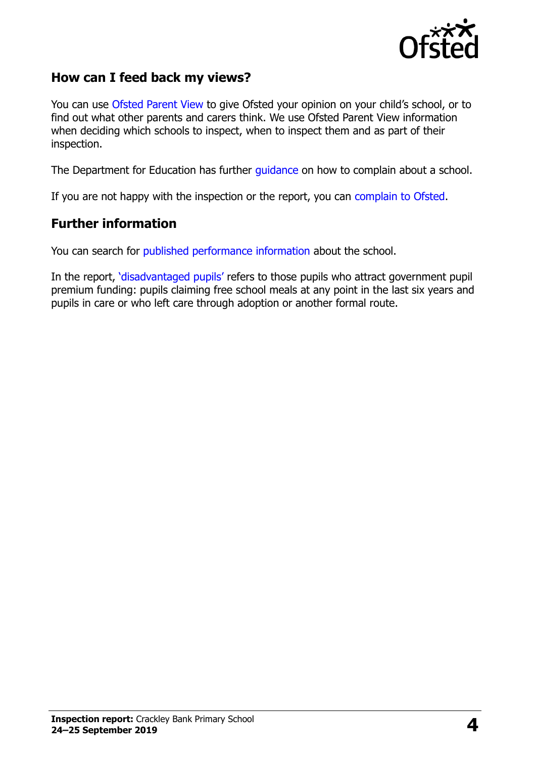

## **How can I feed back my views?**

You can use [Ofsted Parent View](https://parentview.ofsted.gov.uk/) to give Ofsted your opinion on your child's school, or to find out what other parents and carers think. We use Ofsted Parent View information when deciding which schools to inspect, when to inspect them and as part of their inspection.

The Department for Education has further [guidance](http://www.gov.uk/complain-about-school) on how to complain about a school.

If you are not happy with the inspection or the report, you can [complain to Ofsted.](https://www.gov.uk/complain-ofsted-report)

#### **Further information**

You can search for [published performance information](http://www.compare-school-performance.service.gov.uk/) about the school.

In the report, '[disadvantaged pupils](http://www.gov.uk/guidance/pupil-premium-information-for-schools-and-alternative-provision-settings)' refers to those pupils who attract government pupil premium funding: pupils claiming free school meals at any point in the last six years and pupils in care or who left care through adoption or another formal route.

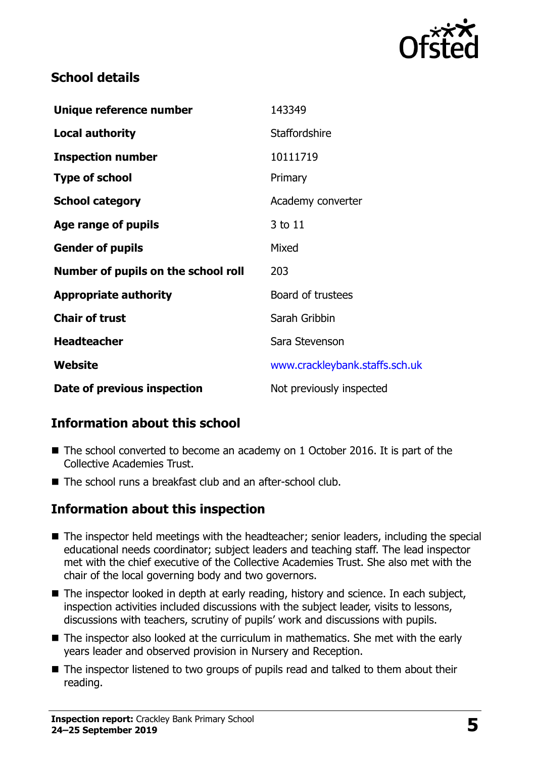

## **School details**

| Unique reference number             | 143349                         |
|-------------------------------------|--------------------------------|
| <b>Local authority</b>              | <b>Staffordshire</b>           |
| <b>Inspection number</b>            | 10111719                       |
| <b>Type of school</b>               | Primary                        |
| <b>School category</b>              | Academy converter              |
| Age range of pupils                 | 3 to 11                        |
| <b>Gender of pupils</b>             | Mixed                          |
| Number of pupils on the school roll | 203                            |
| <b>Appropriate authority</b>        | Board of trustees              |
| <b>Chair of trust</b>               | Sarah Gribbin                  |
| <b>Headteacher</b>                  | Sara Stevenson                 |
| Website                             | www.crackleybank.staffs.sch.uk |
| Date of previous inspection         | Not previously inspected       |

## **Information about this school**

- The school converted to become an academy on 1 October 2016. It is part of the Collective Academies Trust.
- The school runs a breakfast club and an after-school club.

## **Information about this inspection**

- The inspector held meetings with the headteacher; senior leaders, including the special educational needs coordinator; subject leaders and teaching staff. The lead inspector met with the chief executive of the Collective Academies Trust. She also met with the chair of the local governing body and two governors.
- The inspector looked in depth at early reading, history and science. In each subject, inspection activities included discussions with the subject leader, visits to lessons, discussions with teachers, scrutiny of pupils' work and discussions with pupils.
- The inspector also looked at the curriculum in mathematics. She met with the early years leader and observed provision in Nursery and Reception.
- The inspector listened to two groups of pupils read and talked to them about their reading.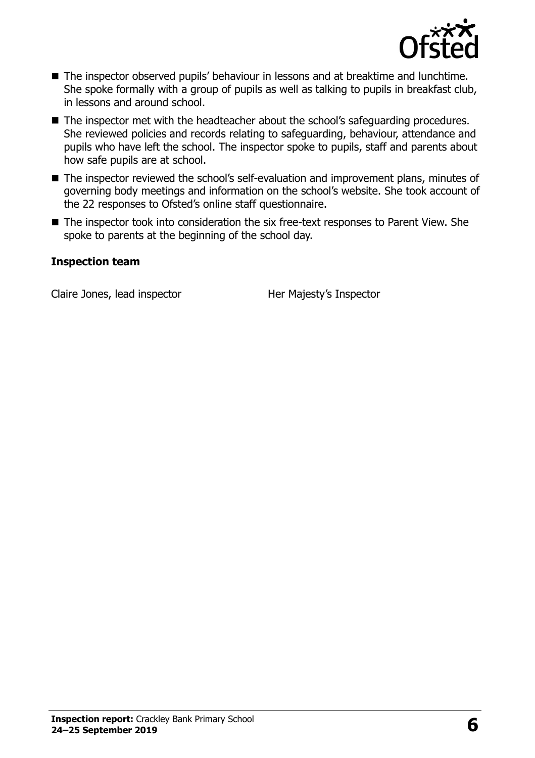

- The inspector observed pupils' behaviour in lessons and at breaktime and lunchtime. She spoke formally with a group of pupils as well as talking to pupils in breakfast club, in lessons and around school.
- The inspector met with the headteacher about the school's safeguarding procedures. She reviewed policies and records relating to safeguarding, behaviour, attendance and pupils who have left the school. The inspector spoke to pupils, staff and parents about how safe pupils are at school.
- The inspector reviewed the school's self-evaluation and improvement plans, minutes of governing body meetings and information on the school's website. She took account of the 22 responses to Ofsted's online staff questionnaire.
- The inspector took into consideration the six free-text responses to Parent View. She spoke to parents at the beginning of the school day.

#### **Inspection team**

Claire Jones, lead inspector **Her Majesty's Inspector**